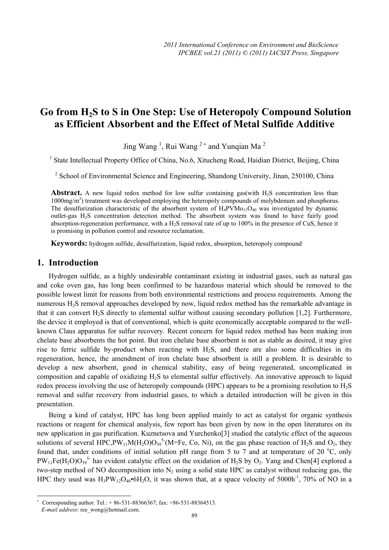# **Go from H2S to S in One Step: Use of Heteropoly Compound Solution as Efficient Absorbent and the Effect of Metal Sulfide Additive**

Jing Wang<sup>1</sup>, Rui Wang<sup>2+</sup> and Yunqian Ma<sup>2</sup>

<sup>1</sup> State Intellectual Property Office of China, No.6, Xitucheng Road, Haidian District, Beijing, China

<sup>2</sup> School of Environmental Science and Engineering, Shandong University, Jinan, 250100, China

**Abstract.** A new liquid redox method for low sulfur containing gas(with  $H_2S$  concentration less than 1000mg/m<sup>3</sup>) treatment was developed employing the heteropoly compounds of molybdenum and phosphorus. The desulfurization characteristic of the absorbent system of  $H_4PVMo_{11}O_{40}$  was investigated by dynamic outlet-gas H2S concentration detection method. The absorbent system was found to have fairly good absorption-regeneration performance, with a H2S removal rate of up to 100% in the presence of CuS, hence it is promising in pollution control and resource reclamation.

**Keywords:** hydrogen sulfide, desulfurization, liquid redox, absorption, heteropoly compound

## **1. Introduction**

Hydrogen sulfide, as a highly undesirable contaminant existing in industrial gases, such as natural gas and coke oven gas, has long been confirmed to be hazardous material which should be removed to the possible lowest limit for reasons from both environmental restrictions and process requirements. Among the numerous H2S removal approaches developed by now, liquid redox method has the remarkable advantage in that it can convert H<sub>2</sub>S directly to elemental sulfur without causing secondary pollution [1,2]. Furthermore, the device it employed is that of conventional, which is quite economically acceptable compared to the wellknown Claus apparatus for sulfur recovery. Recent concern for liquid redox method has been making iron chelate base absorbents the hot point. But iron chelate base absorbent is not as stable as desired, it may give rise to ferric sulfide by-product when reacting with H2S, and there are also some difficulties in its regeneration, hence, the amendment of iron chelate base absorbent is still a problem. It is desirable to develop a new absorbent, good in chemical stability, easy of being regenerated, uncomplicated in composition and capable of oxidizing H2S to elemental sulfur effectively. An innovative approach to liquid redox process involving the use of heteropoly compounds (HPC) appears to be a promising resolution to H2S removal and sulfur recovery from industrial gases, to which a detailed introduction will be given in this presentation.

Being a kind of catalyst, HPC has long been applied mainly to act as catalyst for organic synthesis reactions or reagent for chemical analysis, few report has been given by now in the open literatures on its new application in gas purification. Kuznetsova and Yurchenko[3] studied the catalytic effect of the aqueous solutions of several HPC, PW<sub>11</sub>M(H<sub>2</sub>O)O<sub>39</sub><sup>5</sup> (M=Fe, Co, Ni), on the gas phase reaction of H<sub>2</sub>S and O<sub>2</sub>, they found that, under conditions of initial solution pH range from 5 to 7 and at temperature of 20  $^{\circ}$ C, only  $PW_{11}Fe(H_2O)O_{39}^{5}$  has evident catalytic effect on the oxidation of H<sub>2</sub>S by O<sub>2</sub>. Yang and Chen[4] explored a two-step method of NO decomposition into  $N_2$  using a solid state HPC as catalyst without reducing gas, the HPC they used was  $H_3PW_{12}O_{40}$ •6H<sub>2</sub>O, it was shown that, at a space velocity of 5000h<sup>-1</sup>, 70% of NO in a

 $\overline{a}$ 

<sup>+</sup> Corresponding author. Tel.: + 86-531-88366367; fax: +86-531-88364513.

*E-mail address*: ree\_wong@hotmail.com.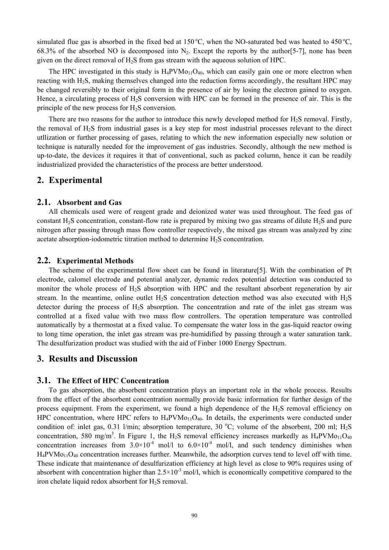simulated flue gas is absorbed in the fixed bed at  $150^{\circ}$ C, when the NO-saturated bed was heated to  $450^{\circ}$ C, 68.3% of the absorbed NO is decomposed into  $N_2$ . Except the reports by the author [5-7], none has been given on the direct removal of H2S from gas stream with the aqueous solution of HPC.

The HPC investigated in this study is  $H_4$ PVM $o_{11}O_{40}$ , which can easily gain one or more electron when reacting with H<sub>2</sub>S, making themselves changed into the reduction forms accordingly, the resultant HPC may be changed reversibly to their original form in the presence of air by losing the electron gained to oxygen. Hence, a circulating process of H2S conversion with HPC can be formed in the presence of air. This is the principle of the new process for  $H_2S$  conversion.

There are two reasons for the author to introduce this newly developed method for H<sub>2</sub>S removal. Firstly, the removal of H2S from industrial gases is a key step for most industrial processes relevant to the direct utllization or further processing of gases, relating to which the new information especially new solution or technique is naturally needed for the improvement of gas industries. Secondly, although the new method is up-to-date, the devices it requires it that of conventional, such as packed column, hence it can be readily industrialized provided the characteristics of the process are better understood.

# **2. Experimental**

#### **2.1. Absorbent and Gas**

All chemicals used were of reagent grade and deionized water was used throughout. The feed gas of constant H2S concentration, constant-flow rate is prepared by mixing two gas streams of dilute H2S and pure nitrogen after passing through mass flow controller respectively, the mixed gas stream was analyzed by zinc acetate absorption-iodometric titration method to determine  $H_2S$  concentration.

#### **2.2. Experimental Methods**

The scheme of the experimental flow sheet can be found in literature[5]. With the combination of Pt electrode, calomel electrode and potential analyzer, dynamic redox potential detection was conducted to monitor the whole process of H2S absorption with HPC and the resultant absorbent regeneration by air stream. In the meantime, online outlet  $H_2S$  concentration detection method was also executed with  $H_2S$ detector during the process of H2S absorption. The concentration and rate of the inlet gas stream was controlled at a fixed value with two mass flow controllers. The operation temperature was controlled automatically by a thermostat at a fixed value. To compensate the water loss in the gas-liquid reactor owing to long time operation, the inlet gas stream was pre-humidified by passing through a water saturation tank. The desulfurization product was studied with the aid of Finber 1000 Energy Spectrum.

## **3. Results and Discussion**

#### **3.1. The Effect of HPC Concentration**

To gas absorption, the absorbent concentration plays an important role in the whole process. Results from the effect of the absorbent concentration normally provide basic information for further design of the process equipment. From the experiment, we found a high dependence of the H2S removal efficiency on HPC concentration, where HPC refers to  $H_4$ PVMo<sub>11</sub>O<sub>40</sub>. In details, the experiments were conducted under condition of: inlet gas, 0.31 l/min; absorption temperature, 30 °C; volume of the absorbent, 200 ml;  $H_2S$ concentration, 580 mg/m<sup>3</sup>. In Figure 1, the H<sub>2</sub>S removal efficiency increases markedly as  $H_4$ PVMo<sub>11</sub>O<sub>40</sub> concentration increases from  $3.0\times10^{-4}$  mol/l to  $6.0\times10^{-4}$  mol/l, and such tendency diminishes when  $H_4$ PVM $o_{11}O_{40}$  concentration increases further. Meanwhile, the adsorption curves tend to level off with time. These indicate that maintenance of desulfurization efficiency at high level as close to 90% requires using of absorbent with concentration higher than  $2.5 \times 10^{-3}$  mol/l, which is economically competitive compared to the iron chelate liquid redox absorbent for  $H_2S$  removal.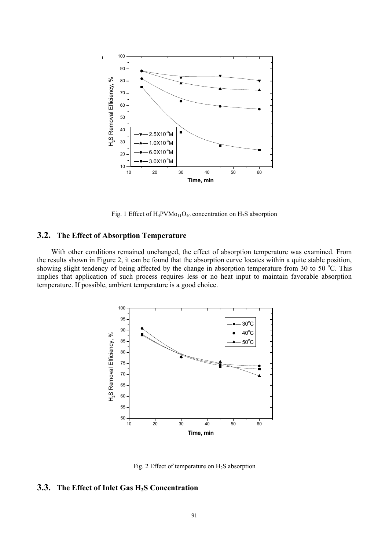

Fig. 1 Effect of  $H_4$ PVMo<sub>11</sub>O<sub>40</sub> concentration on  $H_2$ S absorption

#### **3.2. The Effect of Absorption Temperature**

With other conditions remained unchanged, the effect of absorption temperature was examined. From the results shown in Figure 2, it can be found that the absorption curve locates within a quite stable position, showing slight tendency of being affected by the change in absorption temperature from 30 to 50 $^{\circ}$ C. This implies that application of such process requires less or no heat input to maintain favorable absorption temperature. If possible, ambient temperature is a good choice.



Fig. 2 Effect of temperature on  $H_2S$  absorption

#### **3.3. The Effect of Inlet Gas H2S Concentration**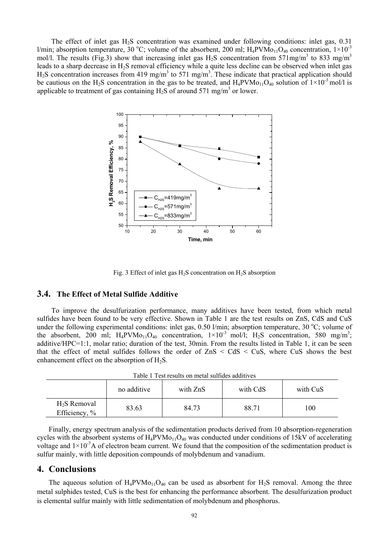The effect of inlet gas H<sub>2</sub>S concentration was examined under following conditions: inlet gas, 0.31 l/min; absorption temperature, 30 °C; volume of the absorbent, 200 ml;  $H_4$ PVMo<sub>11</sub>O<sub>40</sub> concentration,  $1 \times 10^{-3}$ mol/l. The results (Fig.3) show that increasing inlet gas  $H_2S$  concentration from 571mg/m<sup>3</sup> to 833 mg/m<sup>3</sup> leads to a sharp decrease in H2S removal efficiency while a quite less decline can be observed when inlet gas  $H<sub>2</sub>S$  concentration increases from 419 mg/m<sup>3</sup> to 571 mg/m<sup>3</sup>. These indicate that practical application should be cautious on the H<sub>2</sub>S concentration in the gas to be treated, and  $H_4PVMo_{11}O_{40}$  solution of  $1\times10^{-3}$  mol/l is applicable to treatment of gas containing  $H_2S$  of around 571 mg/m<sup>3</sup> or lower.



Fig. 3 Effect of inlet gas  $H_2S$  concentration on  $H_2S$  absorption

#### **3.4. The Effect of Metal Sulfide Additive**

To improve the desulfurization performance, many additives have been tested, from which metal sulfides have been found to be very effective. Shown in Table 1 are the test results on ZnS, CdS and CuS under the following experimental conditions: inlet gas,  $0.50$  l/min; absorption temperature,  $30^{\circ}$ C; volume of the absorbent, 200 ml;  $H_4$ PVMo<sub>11</sub>O<sub>40</sub> concentration,  $1 \times 10^{-3}$  mol/l;  $H_2$ S concentration, 580 mg/m<sup>3</sup>; additive/HPC=1:1, molar ratio; duration of the test, 30min. From the results listed in Table 1, it can be seen that the effect of metal sulfides follows the order of  $ZnS < CdS < CuS$ , where CuS shows the best enhancement effect on the absorption of  $H_2S$ .

|                                |             | Table 1 Test results on metal sulfides additives |          |          |
|--------------------------------|-------------|--------------------------------------------------|----------|----------|
|                                | no additive | with ZnS                                         | with CdS | with CuS |
| $H2S$ Removal<br>Efficiency, % | 83.63       | 84.73                                            | 88.71    | 100      |

| Finally, energy spectrum analysis of the sedimentation products derived from 10 absorption-regeneration                  |
|--------------------------------------------------------------------------------------------------------------------------|
| cycles with the absorbent systems of $H_4$ PVM $o_{11}O_{40}$ was conducted under conditions of 15kV of accelerating     |
| voltage and $1 \times 10^{-7}$ A of electron beam current. We found that the composition of the sedimentation product is |
| sulfur mainly, with little deposition compounds of molybdenum and vanadium.                                              |

# **4. Conclusions**

The aqueous solution of  $H_4PVMo_{11}O_{40}$  can be used as absorbent for  $H_2S$  removal. Among the three metal sulphides tested, CuS is the best for enhancing the performance absorbent. The desulfurization product is elemental sulfur mainly with little sedimentation of molybdenum and phosphorus.